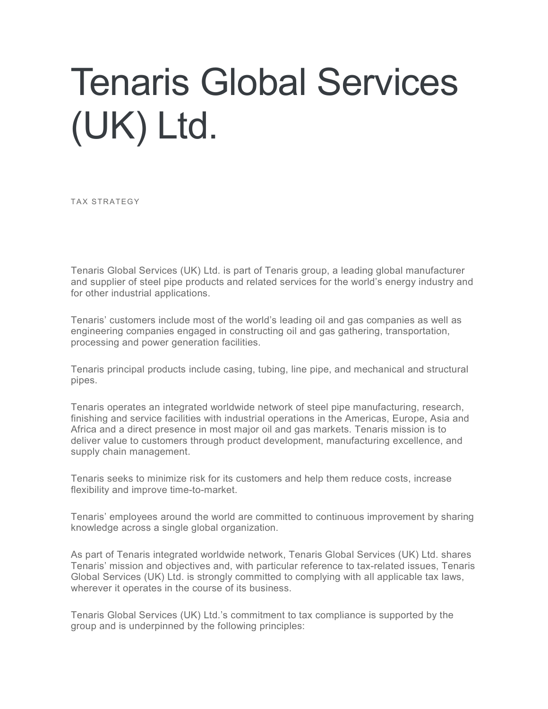## Tenaris Global Services (UK) Ltd.

TAX STRATEGY

Tenaris Global Services (UK) Ltd. is part of Tenaris group, a leading global manufacturer and supplier of steel pipe products and related services for the world's energy industry and for other industrial applications.

Tenaris' customers include most of the world's leading oil and gas companies as well as engineering companies engaged in constructing oil and gas gathering, transportation, processing and power generation facilities.

Tenaris principal products include casing, tubing, line pipe, and mechanical and structural pipes.

Tenaris operates an integrated worldwide network of steel pipe manufacturing, research, finishing and service facilities with industrial operations in the Americas, Europe, Asia and Africa and a direct presence in most major oil and gas markets. Tenaris mission is to deliver value to customers through product development, manufacturing excellence, and supply chain management.

Tenaris seeks to minimize risk for its customers and help them reduce costs, increase flexibility and improve time-to-market.

Tenaris' employees around the world are committed to continuous improvement by sharing knowledge across a single global organization.

As part of Tenaris integrated worldwide network, Tenaris Global Services (UK) Ltd. shares Tenaris' mission and objectives and, with particular reference to tax-related issues, Tenaris Global Services (UK) Ltd. is strongly committed to complying with all applicable tax laws, wherever it operates in the course of its business.

Tenaris Global Services (UK) Ltd.'s commitment to tax compliance is supported by the group and is underpinned by the following principles: